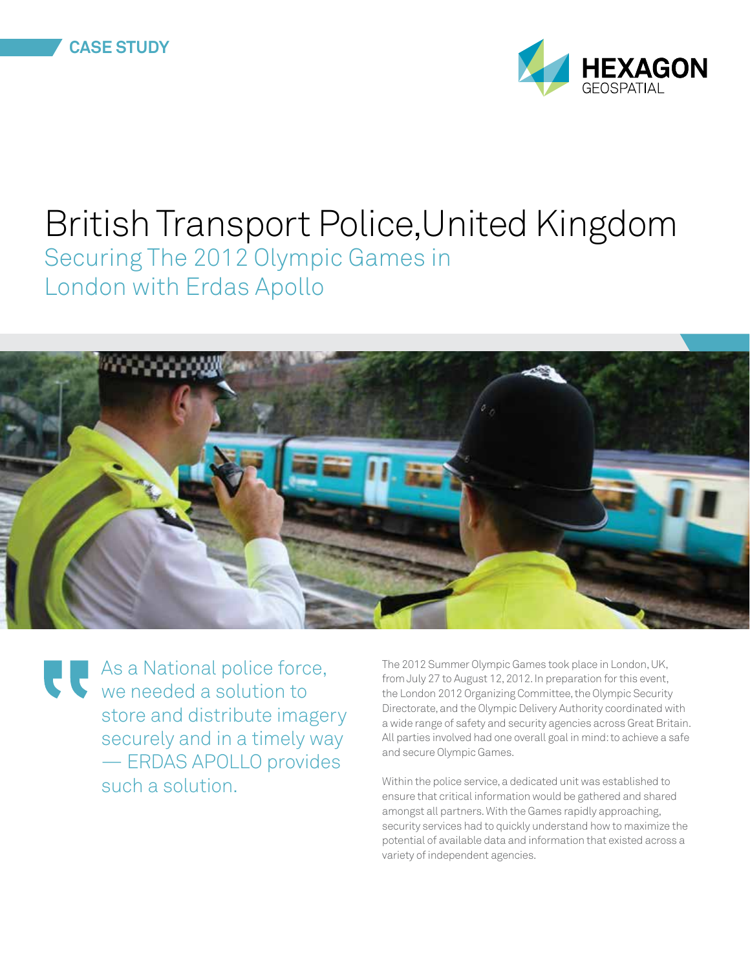



# British Transport Police,United Kingdom Securing The 2012 Olympic Games in London with Erdas Apollo



As a National police force, we needed a solution to store and distribute imagery securely and in a timely way — ERDAS APOLLO provides such a solution.

The 2012 Summer Olympic Games took place in London, UK, from July 27 to August 12, 2012. In preparation for this event, the London 2012 Organizing Committee, the Olympic Security Directorate, and the Olympic Delivery Authority coordinated with a wide range of safety and security agencies across Great Britain. All parties involved had one overall goal in mind: to achieve a safe and secure Olympic Games.

Within the police service, a dedicated unit was established to ensure that critical information would be gathered and shared amongst all partners. With the Games rapidly approaching, security services had to quickly understand how to maximize the potential of available data and information that existed across a variety of independent agencies.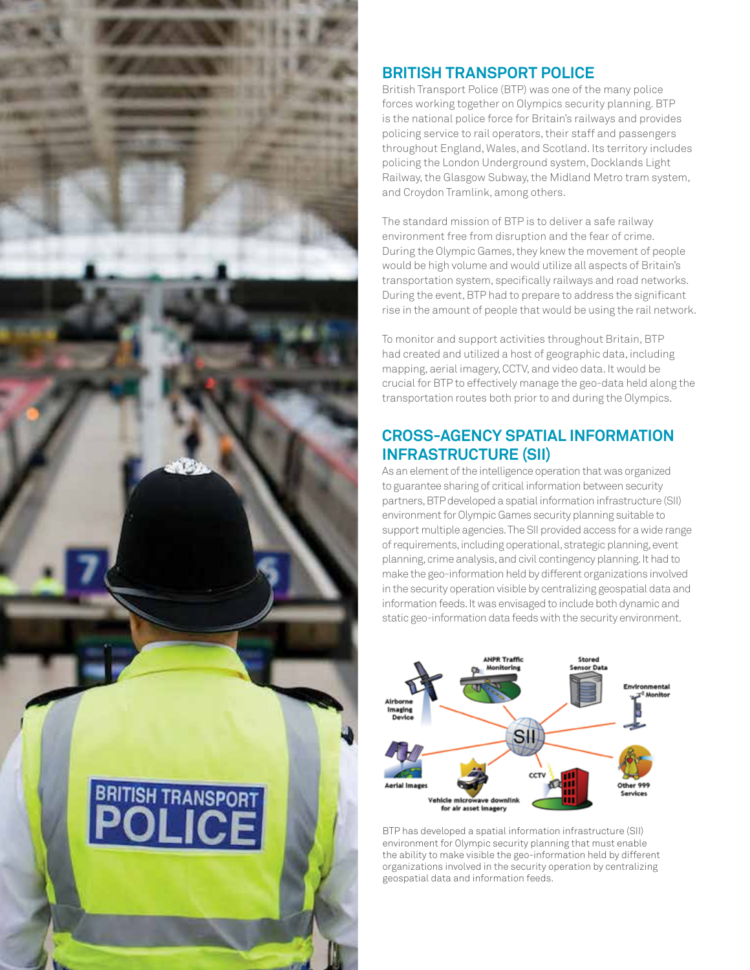

# **BRITISH TRANSPORT POLICE**

British Transport Police (BTP) was one of the many police forces working together on Olympics security planning. BTP is the national police force for Britain's railways and provides policing service to rail operators, their staff and passengers throughout England, Wales, and Scotland. Its territory includes policing the London Underground system, Docklands Light Railway, the Glasgow Subway, the Midland Metro tram system, and Croydon Tramlink, among others.

The standard mission of BTP is to deliver a safe railway environment free from disruption and the fear of crime. During the Olympic Games, they knew the movement of people would be high volume and would utilize all aspects of Britain's transportation system, specifically railways and road networks. During the event, BTP had to prepare to address the significant rise in the amount of people that would be using the rail network.

To monitor and support activities throughout Britain, BTP had created and utilized a host of geographic data, including mapping, aerial imagery, CCTV, and video data. It would be crucial for BTP to effectively manage the geo-data held along the transportation routes both prior to and during the Olympics.

## **CROSS-AGENCY SPATIAL INFORMATION INFRASTRUCTURE (SII)**

As an element of the intelligence operation that was organized to guarantee sharing of critical information between security partners, BTP developed a spatial information infrastructure (SII) environment for Olympic Games security planning suitable to support multiple agencies. The SII provided access for a wide range of requirements, including operational, strategic planning, event planning, crime analysis, and civil contingency planning. It had to make the geo-information held by different organizations involved in the security operation visible by centralizing geospatial data and information feeds. It was envisaged to include both dynamic and static geo-information data feeds with the security environment.



BTP has developed a spatial information infrastructure (SII) environment for Olympic security planning that must enable the ability to make visible the geo-information held by different organizations involved in the security operation by centralizing geospatial data and information feeds.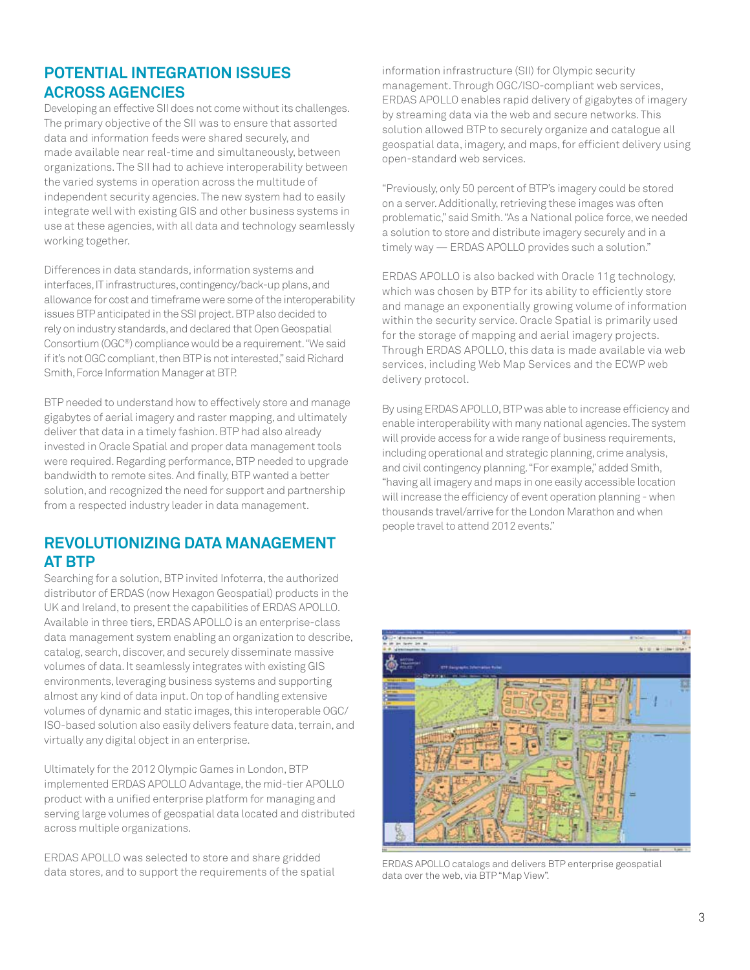#### **POTENTIAL INTEGRATION ISSUES ACROSS AGENCIES**

Developing an effective SII does not come without its challenges. The primary objective of the SII was to ensure that assorted data and information feeds were shared securely, and made available near real-time and simultaneously, between organizations. The SII had to achieve interoperability between the varied systems in operation across the multitude of independent security agencies. The new system had to easily integrate well with existing GIS and other business systems in use at these agencies, with all data and technology seamlessly working together.

Differences in data standards, information systems and interfaces, IT infrastructures, contingency/back-up plans, and allowance for cost and timeframe were some of the interoperability issues BTP anticipated in the SSI project. BTP also decided to rely on industry standards, and declared that Open Geospatial Consortium (OGC®) compliance would be a requirement. "We said if it's not OGC compliant, then BTP is not interested," said Richard Smith, Force Information Manager at BTP.

BTP needed to understand how to effectively store and manage gigabytes of aerial imagery and raster mapping, and ultimately deliver that data in a timely fashion. BTP had also already invested in Oracle Spatial and proper data management tools were required. Regarding performance, BTP needed to upgrade bandwidth to remote sites. And finally, BTP wanted a better solution, and recognized the need for support and partnership from a respected industry leader in data management.

#### **REVOLUTIONIZING DATA MANAGEMENT AT BTP**

Searching for a solution, BTP invited Infoterra, the authorized distributor of ERDAS (now Hexagon Geospatial) products in the UK and Ireland, to present the capabilities of ERDAS APOLLO. Available in three tiers, ERDAS APOLLO is an enterprise-class data management system enabling an organization to describe, catalog, search, discover, and securely disseminate massive volumes of data. It seamlessly integrates with existing GIS environments, leveraging business systems and supporting almost any kind of data input. On top of handling extensive volumes of dynamic and static images, this interoperable OGC/ ISO-based solution also easily delivers feature data, terrain, and virtually any digital object in an enterprise.

Ultimately for the 2012 Olympic Games in London, BTP implemented ERDAS APOLLO Advantage, the mid-tier APOLLO product with a unified enterprise platform for managing and serving large volumes of geospatial data located and distributed across multiple organizations.

ERDAS APOLLO was selected to store and share gridded data stores, and to support the requirements of the spatial information infrastructure (SII) for Olympic security management. Through OGC/ISO-compliant web services, ERDAS APOLLO enables rapid delivery of gigabytes of imagery by streaming data via the web and secure networks. This solution allowed BTP to securely organize and catalogue all geospatial data, imagery, and maps, for efficient delivery using open-standard web services.

"Previously, only 50 percent of BTP's imagery could be stored on a server. Additionally, retrieving these images was often problematic," said Smith. "As a National police force, we needed a solution to store and distribute imagery securely and in a timely way — ERDAS APOLLO provides such a solution."

ERDAS APOLLO is also backed with Oracle 11g technology, which was chosen by BTP for its ability to efficiently store and manage an exponentially growing volume of information within the security service. Oracle Spatial is primarily used for the storage of mapping and aerial imagery projects. Through ERDAS APOLLO, this data is made available via web services, including Web Map Services and the ECWP web delivery protocol.

By using ERDAS APOLLO, BTP was able to increase efficiency and enable interoperability with many national agencies. The system will provide access for a wide range of business requirements, including operational and strategic planning, crime analysis, and civil contingency planning. "For example," added Smith, "having all imagery and maps in one easily accessible location will increase the efficiency of event operation planning - when thousands travel/arrive for the London Marathon and when people travel to attend 2012 events."



ERDAS APOLLO catalogs and delivers BTP enterprise geospatial data over the web, via BTP "Map View".